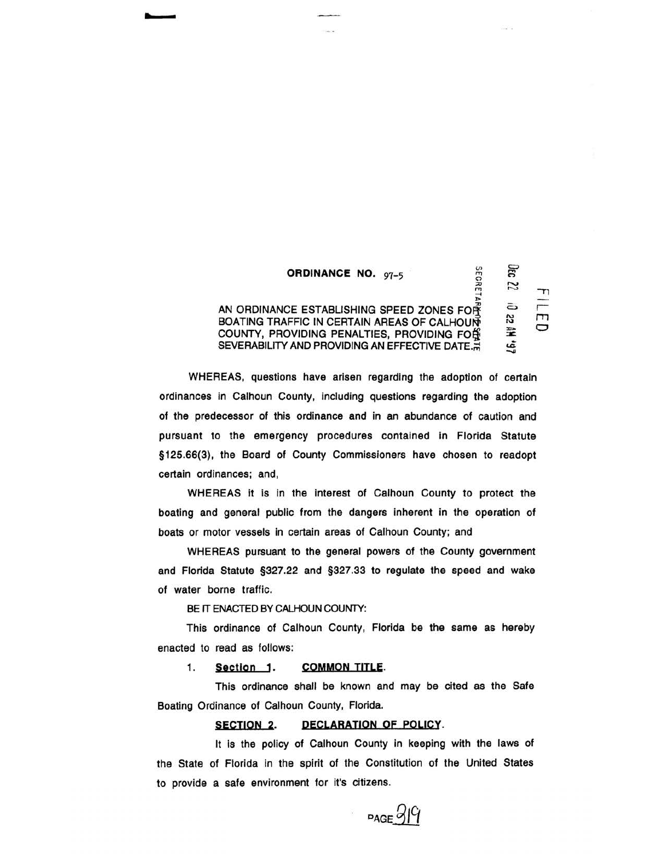# ORDINANCE NO.  $97-5$ <br>  $\frac{65}{27}$ <br>  $\frac{65}{27}$

 $\mathbb{G}$  $\mathfrak{z}$  $\approx$   $\sim$ 

ត<br>ន<br>គ 로 \_ ui 46. HU

## AN ORDINANCE ESTABLISHING SPEED ZONES FO $\tilde{\mathbf{f}}$ BOATING TRAFFIC IN CERTAIN AREAS OF CALHOUN! COUNTY, PROVIDING PENALTIES, PROVIDING FO $\frac{62}{10}$ SEVERABILITY AND PROVIDING AN EFFECTIVE DATE.

WHEREAS, questions have arisen regarding the adoption of certain ordinances in Calhoun County, including questions regarding the adoption of the predecessor of this ordinance and in an abundance of caution and pursuant to the emergency procedures contained in Florida Statute §125.66(3}, the Board of County Commissioners have chosen to readopt certain ordinances; and,

WHEREAS it is in the interest of Calhoun County to protect the boating and general public from the dangers inherent in the operation of boats or motor vessels in certain areas of Calhoun County; and

WHEREAS pursuant to the general powers of the County government and Florida Statute §327.22 and §327.33 to regulate the speed and wake of water borne traffic.

BE IT ENACTED BY CALHOUN COUNTY:

This ordinance of Calhoun County, Florida be the same as hereby enacted to read as follows:

1. Section 1. COMMON TITLE.

This ordinance shall be known and may be cited as the Safe Boating Ordinance of Calhoun County, Florida.

# SECTION 2. DECLARATION OF POLICY.

It is the policy of Calhoun County in keeping with the laws of the State of Florida in the spirit of the Constitution of the United States to provide a safe environment for it's citizens.

 $PAGE99$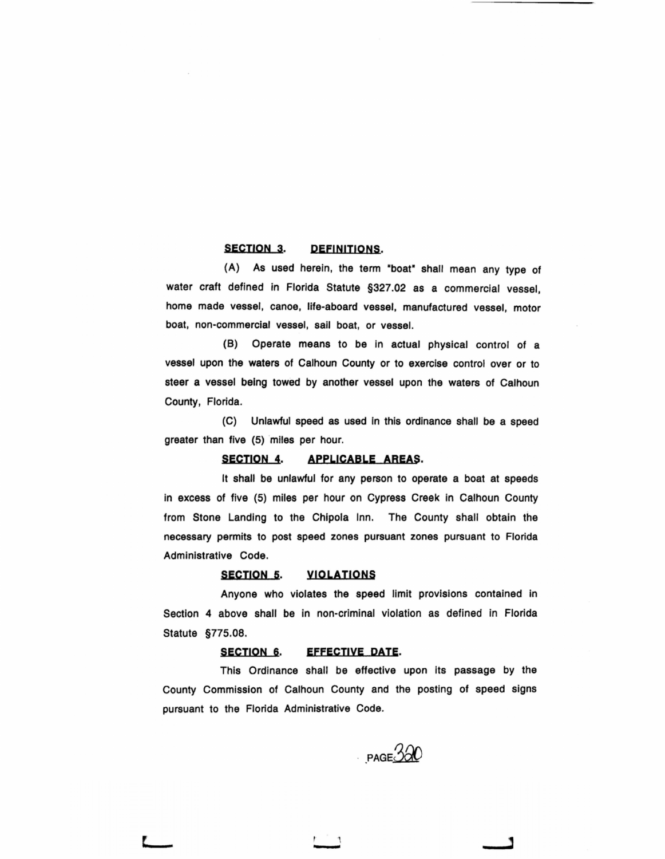# SECTION 3. DEFINITIONS.

(A) As used herein, the term "boat" shall mean any type of water craft defined in Florida Statute §327.02 as a commercial vessel, home made vessel, canoe, life-aboard vessel, manufactured vessel, motor boat, non-commercial vessel, sail boat, or vessel.

(B) Operate means to be in actual physical control of a vessel upon the waters of Calhoun County or to exercise control over or to steer a vessel being towed by another vessel upon the waters of Calhoun County, Florida.

(C) Unlawful speed as used In this ordinance shall be a speed greater than five (5) miles per hour.

## SECTION 4. APPLICABLE AREAS.

It shall be unlawful for any person to operate a boat at speeds in excess of five (5) miles per hour on Cypress Creek in Calhoun County from Stone Landing to the Chipola Inn. The County shall obtain the necessary permits to post speed zones pursuant zones pursuant to Florida Administrative Code.

#### SECTION 5. VIOLATIONS

Anyone who violates the speed limit provisions contained in Section 4 above shall be in non-criminal violation as defined in Florida Statute §775.08.

#### SECTION 6. **EFFECTIVE DATE.**

-

This Ordinance shall be effective upon its passage by the County Commission of Calhoun County and the posting of speed signs pursuant to the Florida Administrative Code.

 $\cdot$  page  $320$ 

٦